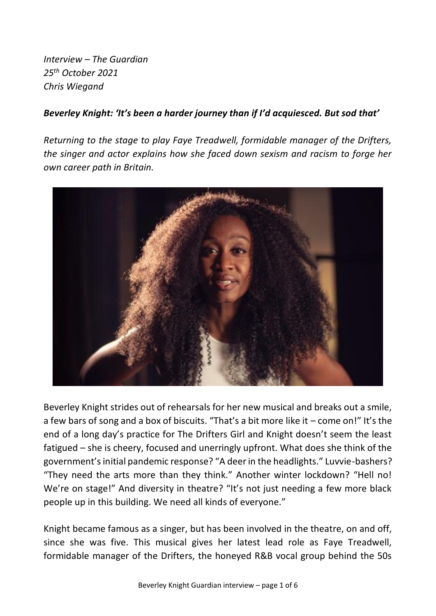*Interview – The Guardian 25 th October 2021 Chris Wiegand*

*Beverley Knight: 'It's been a harder journey than if I'd acquiesced. But sod that'*

*Returning to the stage to play Faye Treadwell, formidable manager of the Drifters, the singer and actor explains how she faced down sexism and racism to forge her own career path in Britain.*



Beverley Knight strides out of rehearsals for her new musical and breaks out a smile, a few bars of song and a box of biscuits. "That's a bit more like it – come on!" It's the end of a long day's practice for The Drifters Girl and Knight doesn't seem the least fatigued – she is cheery, focused and unerringly upfront. What does she think of the government's initial pandemic response? "A deer in the headlights." Luvvie-bashers? "They need the arts more than they think." Another winter lockdown? "Hell no! We're on stage!" And diversity in theatre? "It's not just needing a few more black people up in this building. We need all kinds of everyone."

Knight became famous as a singer, but has been involved in the theatre, on and off, since she was five. This musical gives her latest lead role as Faye Treadwell, formidable manager of the Drifters, the honeyed R&B vocal group behind the 50s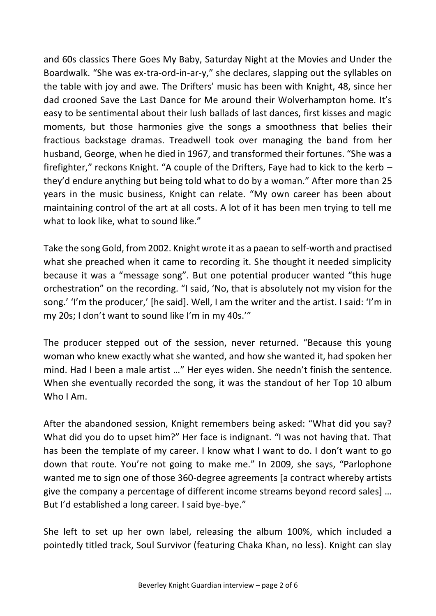and 60s classics There Goes My Baby, Saturday Night at the Movies and Under the Boardwalk. "She was ex-tra-ord-in-ar-y," she declares, slapping out the syllables on the table with joy and awe. The Drifters' music has been with Knight, 48, since her dad crooned Save the Last Dance for Me around their Wolverhampton home. It's easy to be sentimental about their lush ballads of last dances, first kisses and magic moments, but those harmonies give the songs a smoothness that belies their fractious backstage dramas. Treadwell took over managing the band from her husband, George, when he died in 1967, and transformed their fortunes. "She was a firefighter," reckons Knight. "A couple of the Drifters, Faye had to kick to the kerb – they'd endure anything but being told what to do by a woman." After more than 25 years in the music business, Knight can relate. "My own career has been about maintaining control of the art at all costs. A lot of it has been men trying to tell me what to look like, what to sound like."

Take the song Gold, from 2002. Knight wrote it as a paean to self-worth and practised what she preached when it came to recording it. She thought it needed simplicity because it was a "message song". But one potential producer wanted "this huge orchestration" on the recording. "I said, 'No, that is absolutely not my vision for the song.' 'I'm the producer,' [he said]. Well, I am the writer and the artist. I said: 'I'm in my 20s; I don't want to sound like I'm in my 40s.'"

The producer stepped out of the session, never returned. "Because this young woman who knew exactly what she wanted, and how she wanted it, had spoken her mind. Had I been a male artist …" Her eyes widen. She needn't finish the sentence. When she eventually recorded the song, it was the standout of her Top 10 album Who I Am.

After the abandoned session, Knight remembers being asked: "What did you say? What did you do to upset him?" Her face is indignant. "I was not having that. That has been the template of my career. I know what I want to do. I don't want to go down that route. You're not going to make me." In 2009, she says, "Parlophone wanted me to sign one of those 360-degree agreements [a contract whereby artists give the company a percentage of different income streams beyond record sales] … But I'd established a long career. I said bye-bye."

She left to set up her own label, releasing the album 100%, which included a pointedly titled track, Soul Survivor (featuring Chaka Khan, no less). Knight can slay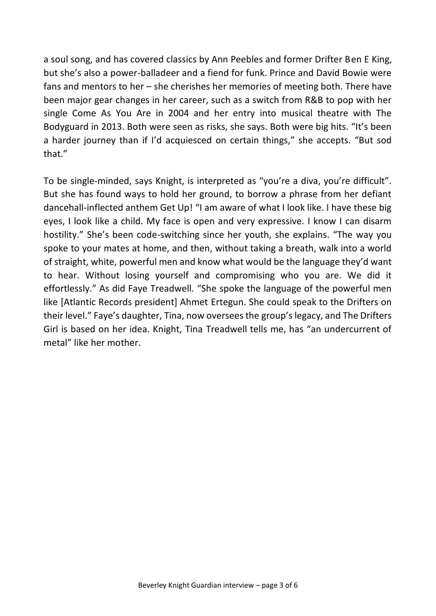a soul song, and has covered classics by Ann Peebles and former Drifter Ben E King, but she's also a power-balladeer and a fiend for funk. Prince and David Bowie were fans and mentors to her – she cherishes her memories of meeting both. There have been major gear changes in her career, such as a switch from R&B to pop with her single Come As You Are in 2004 and her entry into musical theatre with The Bodyguard in 2013. Both were seen as risks, she says. Both were big hits. "It's been a harder journey than if I'd acquiesced on certain things," she accepts. "But sod that."

To be single-minded, says Knight, is interpreted as "you're a diva, you're difficult". But she has found ways to hold her ground, to borrow a phrase from her defiant dancehall-inflected anthem Get Up! "I am aware of what I look like. I have these big eyes, I look like a child. My face is open and very expressive. I know I can disarm hostility." She's been code-switching since her youth, she explains. "The way you spoke to your mates at home, and then, without taking a breath, walk into a world of straight, white, powerful men and know what would be the language they'd want to hear. Without losing yourself and compromising who you are. We did it effortlessly." As did Faye Treadwell. "She spoke the language of the powerful men like [Atlantic Records president] Ahmet Ertegun. She could speak to the Drifters on their level." Faye's daughter, Tina, now oversees the group's legacy, and The Drifters Girl is based on her idea. Knight, Tina Treadwell tells me, has "an undercurrent of metal" like her mother.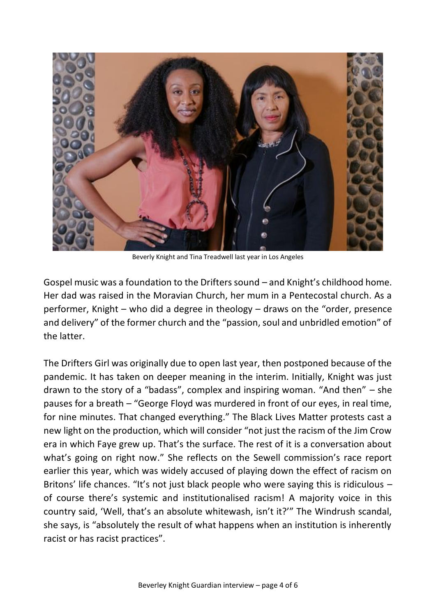

Beverly Knight and Tina Treadwell last year in Los Angeles

Gospel music was a foundation to the Drifters sound – and Knight's childhood home. Her dad was raised in the Moravian Church, her mum in a Pentecostal church. As a performer, Knight – who did a degree in theology – draws on the "order, presence and delivery" of the former church and the "passion, soul and unbridled emotion" of the latter.

The Drifters Girl was originally due to open last year, then postponed because of the pandemic. It has taken on deeper meaning in the interim. Initially, Knight was just drawn to the story of a "badass", complex and inspiring woman. "And then" – she pauses for a breath – "George Floyd was murdered in front of our eyes, in real time, for nine minutes. That changed everything." The Black Lives Matter protests cast a new light on the production, which will consider "not just the racism of the Jim Crow era in which Faye grew up. That's the surface. The rest of it is a conversation about what's going on right now." She reflects on the Sewell commission's race report earlier this year, which was widely accused of playing down the effect of racism on Britons' life chances. "It's not just black people who were saying this is ridiculous of course there's systemic and institutionalised racism! A majority voice in this country said, 'Well, that's an absolute whitewash, isn't it?'" The Windrush scandal, she says, is "absolutely the result of what happens when an institution is inherently racist or has racist practices".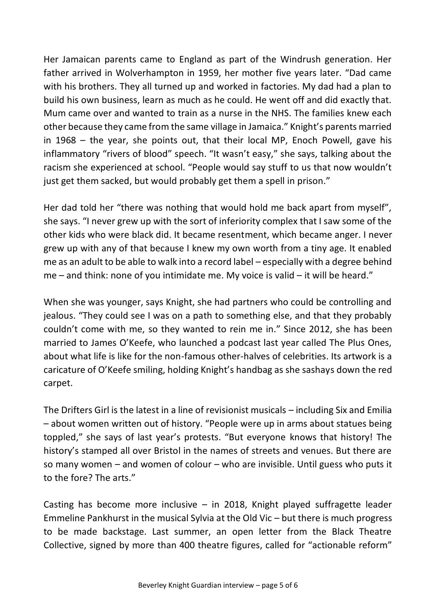Her Jamaican parents came to England as part of the Windrush generation. Her father arrived in Wolverhampton in 1959, her mother five years later. "Dad came with his brothers. They all turned up and worked in factories. My dad had a plan to build his own business, learn as much as he could. He went off and did exactly that. Mum came over and wanted to train as a nurse in the NHS. The families knew each other because they came from the same village in Jamaica." Knight's parents married in 1968 – the year, she points out, that their local MP, Enoch Powell, gave his inflammatory "rivers of blood" speech. "It wasn't easy," she says, talking about the racism she experienced at school. "People would say stuff to us that now wouldn't just get them sacked, but would probably get them a spell in prison."

Her dad told her "there was nothing that would hold me back apart from myself", she says. "I never grew up with the sort of inferiority complex that I saw some of the other kids who were black did. It became resentment, which became anger. I never grew up with any of that because I knew my own worth from a tiny age. It enabled me as an adult to be able to walk into a record label – especially with a degree behind me – and think: none of you intimidate me. My voice is valid – it will be heard."

When she was younger, says Knight, she had partners who could be controlling and jealous. "They could see I was on a path to something else, and that they probably couldn't come with me, so they wanted to rein me in." Since 2012, she has been married to James O'Keefe, who launched a podcast last year called The Plus Ones, about what life is like for the non-famous other-halves of celebrities. Its artwork is a caricature of O'Keefe smiling, holding Knight's handbag as she sashays down the red carpet.

The Drifters Girl is the latest in a line of revisionist musicals – including Six and Emilia – about women written out of history. "People were up in arms about statues being toppled," she says of last year's protests. "But everyone knows that history! The history's stamped all over Bristol in the names of streets and venues. But there are so many women  $-$  and women of colour  $-$  who are invisible. Until guess who puts it to the fore? The arts."

Casting has become more inclusive  $-$  in 2018, Knight played suffragette leader Emmeline Pankhurst in the musical Sylvia at the Old Vic – but there is much progress to be made backstage. Last summer, an open letter from the Black Theatre Collective, signed by more than 400 theatre figures, called for "actionable reform"